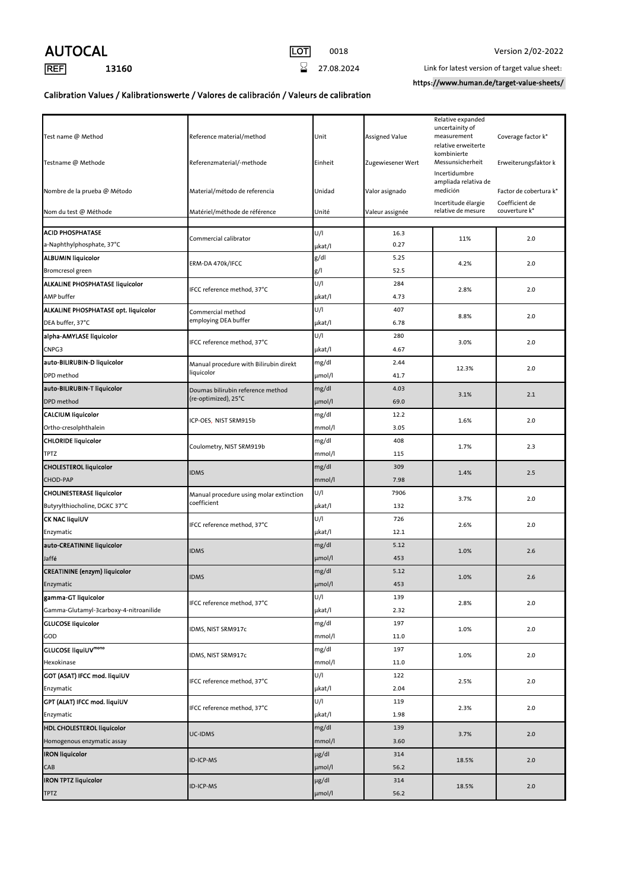## AUTOCAL LOT 0018 Version 2/02-2022





**[REF]** 13160 13160 27.08.2024 Link for latest version of target value sheet:

https://www.human.de/target-value-sheets/

## Calibration Values / Kalibrationswerte / Valores de calibración / Valeurs de calibration

| Relative expanded<br>uncertainity of<br>measurement<br>Coverage factor k*<br>Test name @ Method<br>Reference material/method<br>Unit<br>Assigned Value<br>relative erweiterte<br>kombinierte<br>Messunsicherheit<br>Testname @ Methode<br>Referenzmaterial/-methode<br>Einheit<br>Zugewiesener Wert<br>Erweiterungsfaktor k<br>Incertidumbre<br>ampliada relativa de<br>medición<br>Nombre de la prueba @ Método<br>Material/método de referencia<br>Unidad<br>Valor asignado<br>Factor de cobertura k*<br>Incertitude élargie<br>Coefficient de<br>relative de mesure<br>couverture k*<br>Nom du test @ Méthode<br>Matériel/méthode de référence<br>Unité<br>Valeur assignée<br><b>ACID PHOSPHATASE</b><br>U/I<br>16.3<br>Commercial calibrator<br>11%<br>2.0<br>a-Naphthylphosphate, 37°C<br>0.27<br>µkat/l<br>g/dl<br><b>ALBUMIN liquicolor</b><br>5.25<br>ERM-DA 470k/IFCC<br>4.2%<br>2.0<br>g/<br>52.5<br>Bromcresol green<br>U/I<br><b>ALKALINE PHOSPHATASE liquicolor</b><br>284<br>IFCC reference method, 37°C<br>2.8%<br>2.0<br>AMP buffer<br>µkat/l<br>4.73<br>U/I<br>ALKALINE PHOSPHATASE opt. liquicolor<br>407<br>Commercial method<br>8.8%<br>2.0<br>employing DEA buffer<br>µkat/l<br>DEA buffer, 37°C<br>6.78<br>U/I<br>alpha-AMYLASE liquicolor<br>280<br>IFCC reference method, 37°C<br>3.0%<br>2.0<br>CNPG3<br>µkat/l<br>4.67<br>auto-BILIRUBIN-D liquicolor<br>mg/dl<br>2.44<br>Manual procedure with Bilirubin direkt<br>12.3%<br>2.0<br>liquicolor<br>41.7<br>DPD method<br>µmol/l<br>auto-BILIRUBIN-T liquicolor<br>mg/dl<br>4.03<br>Doumas bilirubin reference method<br>3.1%<br>2.1<br>(re-optimized), 25°C<br>DPD method<br>µmol/l<br>69.0<br><b>CALCIUM liquicolor</b><br>mg/dl<br>12.2<br>ICP-OES, NIST SRM915b<br>1.6%<br>2.0<br>Ortho-cresolphthalein<br>mmol/l<br>3.05<br><b>CHLORIDE liquicolor</b><br>mg/dl<br>408<br>Coulometry, NIST SRM919b<br>1.7%<br>2.3<br><b>TPTZ</b><br>mmol/l<br>115<br>mg/dl<br>309<br><b>CHOLESTEROL liquicolor</b><br><b>IDMS</b><br>1.4%<br>2.5<br>7.98<br><b>CHOD-PAP</b><br>mmol/l<br>U/I<br><b>CHOLINESTERASE liquicolor</b><br>7906<br>Manual procedure using molar extinction<br>3.7%<br>2.0<br>coefficient<br>Butyrylthiocholine, DGKC 37°C<br>µkat/l<br>132<br><b>CK NAC liquiUV</b><br>U/I<br>726<br>IFCC reference method, 37°C<br>2.6%<br>2.0<br>12.1<br>µkat/l<br>Enzymatic<br>auto-CREATININE liquicolor<br>mg/dl<br>5.12<br><b>IDMS</b><br>1.0%<br>2.6<br>µmol/l<br>453<br>Jaffé<br><b>CREATININE</b> (enzym) liquicolor<br>mg/dl<br>5.12<br><b>IDMS</b><br>1.0%<br>2.6<br>Enzymatic<br>µmol/l<br>453<br>U/I<br>gamma-GT liquicolor<br>139<br>IFCC reference method, 37°C<br>2.8%<br>2.0<br>Gamma-Glutamyl-3carboxy-4-nitroanilide<br>µkat/l<br>2.32<br><b>GLUCOSE liquicolor</b><br>mg/dl<br>197<br>IDMS, NIST SRM917c<br>2.0<br>1.0%<br>GOD<br>mmol/l<br>11.0<br>GLUCOSE liquiUVmono<br>mg/dl<br>197<br>IDMS, NIST SRM917c<br>1.0%<br>2.0<br>Hexokinase<br>mmol/l<br>11.0<br>U/I<br>GOT (ASAT) IFCC mod. liquiUV<br>122<br>IFCC reference method, 37°C<br>2.5%<br>2.0<br>µkat/l<br>2.04<br>Enzymatic<br>U/I<br>GPT (ALAT) IFCC mod. liquiUV<br>119<br>IFCC reference method, 37°C<br>2.3%<br>2.0<br>Enzymatic<br>µkat/l<br>1.98<br><b>HDL CHOLESTEROL liquicolor</b><br>mg/dl<br>139<br>UC-IDMS<br>3.7%<br>2.0<br>Homogenous enzymatic assay<br>mmol/l<br>3.60<br><b>IRON liquicolor</b><br>µg/dl<br>314<br><b>ID-ICP-MS</b><br>18.5%<br>2.0<br>CAB<br>µmol/l<br>56.2<br><b>IRON TPTZ liquicolor</b><br>µg/dl<br>314<br>ID-ICP-MS<br>18.5%<br>2.0<br><b>TPTZ</b><br>µmol/l<br>56.2 |  |  |  |  |  |
|-----------------------------------------------------------------------------------------------------------------------------------------------------------------------------------------------------------------------------------------------------------------------------------------------------------------------------------------------------------------------------------------------------------------------------------------------------------------------------------------------------------------------------------------------------------------------------------------------------------------------------------------------------------------------------------------------------------------------------------------------------------------------------------------------------------------------------------------------------------------------------------------------------------------------------------------------------------------------------------------------------------------------------------------------------------------------------------------------------------------------------------------------------------------------------------------------------------------------------------------------------------------------------------------------------------------------------------------------------------------------------------------------------------------------------------------------------------------------------------------------------------------------------------------------------------------------------------------------------------------------------------------------------------------------------------------------------------------------------------------------------------------------------------------------------------------------------------------------------------------------------------------------------------------------------------------------------------------------------------------------------------------------------------------------------------------------------------------------------------------------------------------------------------------------------------------------------------------------------------------------------------------------------------------------------------------------------------------------------------------------------------------------------------------------------------------------------------------------------------------------------------------------------------------------------------------------------------------------------------------------------------------------------------------------------------------------------------------------------------------------------------------------------------------------------------------------------------------------------------------------------------------------------------------------------------------------------------------------------------------------------------------------------------------------------------------------------------------------------------------------------------------------------------------------------------------------------------------------------------------------------------------------------------------------------------------------------------------------------------------------------------------------------------------------------------------------------------------------------------------------------------------------------------------------------------------|--|--|--|--|--|
|                                                                                                                                                                                                                                                                                                                                                                                                                                                                                                                                                                                                                                                                                                                                                                                                                                                                                                                                                                                                                                                                                                                                                                                                                                                                                                                                                                                                                                                                                                                                                                                                                                                                                                                                                                                                                                                                                                                                                                                                                                                                                                                                                                                                                                                                                                                                                                                                                                                                                                                                                                                                                                                                                                                                                                                                                                                                                                                                                                                                                                                                                                                                                                                                                                                                                                                                                                                                                                                                                                                                                                 |  |  |  |  |  |
|                                                                                                                                                                                                                                                                                                                                                                                                                                                                                                                                                                                                                                                                                                                                                                                                                                                                                                                                                                                                                                                                                                                                                                                                                                                                                                                                                                                                                                                                                                                                                                                                                                                                                                                                                                                                                                                                                                                                                                                                                                                                                                                                                                                                                                                                                                                                                                                                                                                                                                                                                                                                                                                                                                                                                                                                                                                                                                                                                                                                                                                                                                                                                                                                                                                                                                                                                                                                                                                                                                                                                                 |  |  |  |  |  |
|                                                                                                                                                                                                                                                                                                                                                                                                                                                                                                                                                                                                                                                                                                                                                                                                                                                                                                                                                                                                                                                                                                                                                                                                                                                                                                                                                                                                                                                                                                                                                                                                                                                                                                                                                                                                                                                                                                                                                                                                                                                                                                                                                                                                                                                                                                                                                                                                                                                                                                                                                                                                                                                                                                                                                                                                                                                                                                                                                                                                                                                                                                                                                                                                                                                                                                                                                                                                                                                                                                                                                                 |  |  |  |  |  |
|                                                                                                                                                                                                                                                                                                                                                                                                                                                                                                                                                                                                                                                                                                                                                                                                                                                                                                                                                                                                                                                                                                                                                                                                                                                                                                                                                                                                                                                                                                                                                                                                                                                                                                                                                                                                                                                                                                                                                                                                                                                                                                                                                                                                                                                                                                                                                                                                                                                                                                                                                                                                                                                                                                                                                                                                                                                                                                                                                                                                                                                                                                                                                                                                                                                                                                                                                                                                                                                                                                                                                                 |  |  |  |  |  |
|                                                                                                                                                                                                                                                                                                                                                                                                                                                                                                                                                                                                                                                                                                                                                                                                                                                                                                                                                                                                                                                                                                                                                                                                                                                                                                                                                                                                                                                                                                                                                                                                                                                                                                                                                                                                                                                                                                                                                                                                                                                                                                                                                                                                                                                                                                                                                                                                                                                                                                                                                                                                                                                                                                                                                                                                                                                                                                                                                                                                                                                                                                                                                                                                                                                                                                                                                                                                                                                                                                                                                                 |  |  |  |  |  |
|                                                                                                                                                                                                                                                                                                                                                                                                                                                                                                                                                                                                                                                                                                                                                                                                                                                                                                                                                                                                                                                                                                                                                                                                                                                                                                                                                                                                                                                                                                                                                                                                                                                                                                                                                                                                                                                                                                                                                                                                                                                                                                                                                                                                                                                                                                                                                                                                                                                                                                                                                                                                                                                                                                                                                                                                                                                                                                                                                                                                                                                                                                                                                                                                                                                                                                                                                                                                                                                                                                                                                                 |  |  |  |  |  |
|                                                                                                                                                                                                                                                                                                                                                                                                                                                                                                                                                                                                                                                                                                                                                                                                                                                                                                                                                                                                                                                                                                                                                                                                                                                                                                                                                                                                                                                                                                                                                                                                                                                                                                                                                                                                                                                                                                                                                                                                                                                                                                                                                                                                                                                                                                                                                                                                                                                                                                                                                                                                                                                                                                                                                                                                                                                                                                                                                                                                                                                                                                                                                                                                                                                                                                                                                                                                                                                                                                                                                                 |  |  |  |  |  |
|                                                                                                                                                                                                                                                                                                                                                                                                                                                                                                                                                                                                                                                                                                                                                                                                                                                                                                                                                                                                                                                                                                                                                                                                                                                                                                                                                                                                                                                                                                                                                                                                                                                                                                                                                                                                                                                                                                                                                                                                                                                                                                                                                                                                                                                                                                                                                                                                                                                                                                                                                                                                                                                                                                                                                                                                                                                                                                                                                                                                                                                                                                                                                                                                                                                                                                                                                                                                                                                                                                                                                                 |  |  |  |  |  |
|                                                                                                                                                                                                                                                                                                                                                                                                                                                                                                                                                                                                                                                                                                                                                                                                                                                                                                                                                                                                                                                                                                                                                                                                                                                                                                                                                                                                                                                                                                                                                                                                                                                                                                                                                                                                                                                                                                                                                                                                                                                                                                                                                                                                                                                                                                                                                                                                                                                                                                                                                                                                                                                                                                                                                                                                                                                                                                                                                                                                                                                                                                                                                                                                                                                                                                                                                                                                                                                                                                                                                                 |  |  |  |  |  |
|                                                                                                                                                                                                                                                                                                                                                                                                                                                                                                                                                                                                                                                                                                                                                                                                                                                                                                                                                                                                                                                                                                                                                                                                                                                                                                                                                                                                                                                                                                                                                                                                                                                                                                                                                                                                                                                                                                                                                                                                                                                                                                                                                                                                                                                                                                                                                                                                                                                                                                                                                                                                                                                                                                                                                                                                                                                                                                                                                                                                                                                                                                                                                                                                                                                                                                                                                                                                                                                                                                                                                                 |  |  |  |  |  |
|                                                                                                                                                                                                                                                                                                                                                                                                                                                                                                                                                                                                                                                                                                                                                                                                                                                                                                                                                                                                                                                                                                                                                                                                                                                                                                                                                                                                                                                                                                                                                                                                                                                                                                                                                                                                                                                                                                                                                                                                                                                                                                                                                                                                                                                                                                                                                                                                                                                                                                                                                                                                                                                                                                                                                                                                                                                                                                                                                                                                                                                                                                                                                                                                                                                                                                                                                                                                                                                                                                                                                                 |  |  |  |  |  |
|                                                                                                                                                                                                                                                                                                                                                                                                                                                                                                                                                                                                                                                                                                                                                                                                                                                                                                                                                                                                                                                                                                                                                                                                                                                                                                                                                                                                                                                                                                                                                                                                                                                                                                                                                                                                                                                                                                                                                                                                                                                                                                                                                                                                                                                                                                                                                                                                                                                                                                                                                                                                                                                                                                                                                                                                                                                                                                                                                                                                                                                                                                                                                                                                                                                                                                                                                                                                                                                                                                                                                                 |  |  |  |  |  |
|                                                                                                                                                                                                                                                                                                                                                                                                                                                                                                                                                                                                                                                                                                                                                                                                                                                                                                                                                                                                                                                                                                                                                                                                                                                                                                                                                                                                                                                                                                                                                                                                                                                                                                                                                                                                                                                                                                                                                                                                                                                                                                                                                                                                                                                                                                                                                                                                                                                                                                                                                                                                                                                                                                                                                                                                                                                                                                                                                                                                                                                                                                                                                                                                                                                                                                                                                                                                                                                                                                                                                                 |  |  |  |  |  |
|                                                                                                                                                                                                                                                                                                                                                                                                                                                                                                                                                                                                                                                                                                                                                                                                                                                                                                                                                                                                                                                                                                                                                                                                                                                                                                                                                                                                                                                                                                                                                                                                                                                                                                                                                                                                                                                                                                                                                                                                                                                                                                                                                                                                                                                                                                                                                                                                                                                                                                                                                                                                                                                                                                                                                                                                                                                                                                                                                                                                                                                                                                                                                                                                                                                                                                                                                                                                                                                                                                                                                                 |  |  |  |  |  |
|                                                                                                                                                                                                                                                                                                                                                                                                                                                                                                                                                                                                                                                                                                                                                                                                                                                                                                                                                                                                                                                                                                                                                                                                                                                                                                                                                                                                                                                                                                                                                                                                                                                                                                                                                                                                                                                                                                                                                                                                                                                                                                                                                                                                                                                                                                                                                                                                                                                                                                                                                                                                                                                                                                                                                                                                                                                                                                                                                                                                                                                                                                                                                                                                                                                                                                                                                                                                                                                                                                                                                                 |  |  |  |  |  |
|                                                                                                                                                                                                                                                                                                                                                                                                                                                                                                                                                                                                                                                                                                                                                                                                                                                                                                                                                                                                                                                                                                                                                                                                                                                                                                                                                                                                                                                                                                                                                                                                                                                                                                                                                                                                                                                                                                                                                                                                                                                                                                                                                                                                                                                                                                                                                                                                                                                                                                                                                                                                                                                                                                                                                                                                                                                                                                                                                                                                                                                                                                                                                                                                                                                                                                                                                                                                                                                                                                                                                                 |  |  |  |  |  |
|                                                                                                                                                                                                                                                                                                                                                                                                                                                                                                                                                                                                                                                                                                                                                                                                                                                                                                                                                                                                                                                                                                                                                                                                                                                                                                                                                                                                                                                                                                                                                                                                                                                                                                                                                                                                                                                                                                                                                                                                                                                                                                                                                                                                                                                                                                                                                                                                                                                                                                                                                                                                                                                                                                                                                                                                                                                                                                                                                                                                                                                                                                                                                                                                                                                                                                                                                                                                                                                                                                                                                                 |  |  |  |  |  |
|                                                                                                                                                                                                                                                                                                                                                                                                                                                                                                                                                                                                                                                                                                                                                                                                                                                                                                                                                                                                                                                                                                                                                                                                                                                                                                                                                                                                                                                                                                                                                                                                                                                                                                                                                                                                                                                                                                                                                                                                                                                                                                                                                                                                                                                                                                                                                                                                                                                                                                                                                                                                                                                                                                                                                                                                                                                                                                                                                                                                                                                                                                                                                                                                                                                                                                                                                                                                                                                                                                                                                                 |  |  |  |  |  |
|                                                                                                                                                                                                                                                                                                                                                                                                                                                                                                                                                                                                                                                                                                                                                                                                                                                                                                                                                                                                                                                                                                                                                                                                                                                                                                                                                                                                                                                                                                                                                                                                                                                                                                                                                                                                                                                                                                                                                                                                                                                                                                                                                                                                                                                                                                                                                                                                                                                                                                                                                                                                                                                                                                                                                                                                                                                                                                                                                                                                                                                                                                                                                                                                                                                                                                                                                                                                                                                                                                                                                                 |  |  |  |  |  |
|                                                                                                                                                                                                                                                                                                                                                                                                                                                                                                                                                                                                                                                                                                                                                                                                                                                                                                                                                                                                                                                                                                                                                                                                                                                                                                                                                                                                                                                                                                                                                                                                                                                                                                                                                                                                                                                                                                                                                                                                                                                                                                                                                                                                                                                                                                                                                                                                                                                                                                                                                                                                                                                                                                                                                                                                                                                                                                                                                                                                                                                                                                                                                                                                                                                                                                                                                                                                                                                                                                                                                                 |  |  |  |  |  |
|                                                                                                                                                                                                                                                                                                                                                                                                                                                                                                                                                                                                                                                                                                                                                                                                                                                                                                                                                                                                                                                                                                                                                                                                                                                                                                                                                                                                                                                                                                                                                                                                                                                                                                                                                                                                                                                                                                                                                                                                                                                                                                                                                                                                                                                                                                                                                                                                                                                                                                                                                                                                                                                                                                                                                                                                                                                                                                                                                                                                                                                                                                                                                                                                                                                                                                                                                                                                                                                                                                                                                                 |  |  |  |  |  |
|                                                                                                                                                                                                                                                                                                                                                                                                                                                                                                                                                                                                                                                                                                                                                                                                                                                                                                                                                                                                                                                                                                                                                                                                                                                                                                                                                                                                                                                                                                                                                                                                                                                                                                                                                                                                                                                                                                                                                                                                                                                                                                                                                                                                                                                                                                                                                                                                                                                                                                                                                                                                                                                                                                                                                                                                                                                                                                                                                                                                                                                                                                                                                                                                                                                                                                                                                                                                                                                                                                                                                                 |  |  |  |  |  |
|                                                                                                                                                                                                                                                                                                                                                                                                                                                                                                                                                                                                                                                                                                                                                                                                                                                                                                                                                                                                                                                                                                                                                                                                                                                                                                                                                                                                                                                                                                                                                                                                                                                                                                                                                                                                                                                                                                                                                                                                                                                                                                                                                                                                                                                                                                                                                                                                                                                                                                                                                                                                                                                                                                                                                                                                                                                                                                                                                                                                                                                                                                                                                                                                                                                                                                                                                                                                                                                                                                                                                                 |  |  |  |  |  |
|                                                                                                                                                                                                                                                                                                                                                                                                                                                                                                                                                                                                                                                                                                                                                                                                                                                                                                                                                                                                                                                                                                                                                                                                                                                                                                                                                                                                                                                                                                                                                                                                                                                                                                                                                                                                                                                                                                                                                                                                                                                                                                                                                                                                                                                                                                                                                                                                                                                                                                                                                                                                                                                                                                                                                                                                                                                                                                                                                                                                                                                                                                                                                                                                                                                                                                                                                                                                                                                                                                                                                                 |  |  |  |  |  |
|                                                                                                                                                                                                                                                                                                                                                                                                                                                                                                                                                                                                                                                                                                                                                                                                                                                                                                                                                                                                                                                                                                                                                                                                                                                                                                                                                                                                                                                                                                                                                                                                                                                                                                                                                                                                                                                                                                                                                                                                                                                                                                                                                                                                                                                                                                                                                                                                                                                                                                                                                                                                                                                                                                                                                                                                                                                                                                                                                                                                                                                                                                                                                                                                                                                                                                                                                                                                                                                                                                                                                                 |  |  |  |  |  |
|                                                                                                                                                                                                                                                                                                                                                                                                                                                                                                                                                                                                                                                                                                                                                                                                                                                                                                                                                                                                                                                                                                                                                                                                                                                                                                                                                                                                                                                                                                                                                                                                                                                                                                                                                                                                                                                                                                                                                                                                                                                                                                                                                                                                                                                                                                                                                                                                                                                                                                                                                                                                                                                                                                                                                                                                                                                                                                                                                                                                                                                                                                                                                                                                                                                                                                                                                                                                                                                                                                                                                                 |  |  |  |  |  |
|                                                                                                                                                                                                                                                                                                                                                                                                                                                                                                                                                                                                                                                                                                                                                                                                                                                                                                                                                                                                                                                                                                                                                                                                                                                                                                                                                                                                                                                                                                                                                                                                                                                                                                                                                                                                                                                                                                                                                                                                                                                                                                                                                                                                                                                                                                                                                                                                                                                                                                                                                                                                                                                                                                                                                                                                                                                                                                                                                                                                                                                                                                                                                                                                                                                                                                                                                                                                                                                                                                                                                                 |  |  |  |  |  |
|                                                                                                                                                                                                                                                                                                                                                                                                                                                                                                                                                                                                                                                                                                                                                                                                                                                                                                                                                                                                                                                                                                                                                                                                                                                                                                                                                                                                                                                                                                                                                                                                                                                                                                                                                                                                                                                                                                                                                                                                                                                                                                                                                                                                                                                                                                                                                                                                                                                                                                                                                                                                                                                                                                                                                                                                                                                                                                                                                                                                                                                                                                                                                                                                                                                                                                                                                                                                                                                                                                                                                                 |  |  |  |  |  |
|                                                                                                                                                                                                                                                                                                                                                                                                                                                                                                                                                                                                                                                                                                                                                                                                                                                                                                                                                                                                                                                                                                                                                                                                                                                                                                                                                                                                                                                                                                                                                                                                                                                                                                                                                                                                                                                                                                                                                                                                                                                                                                                                                                                                                                                                                                                                                                                                                                                                                                                                                                                                                                                                                                                                                                                                                                                                                                                                                                                                                                                                                                                                                                                                                                                                                                                                                                                                                                                                                                                                                                 |  |  |  |  |  |
|                                                                                                                                                                                                                                                                                                                                                                                                                                                                                                                                                                                                                                                                                                                                                                                                                                                                                                                                                                                                                                                                                                                                                                                                                                                                                                                                                                                                                                                                                                                                                                                                                                                                                                                                                                                                                                                                                                                                                                                                                                                                                                                                                                                                                                                                                                                                                                                                                                                                                                                                                                                                                                                                                                                                                                                                                                                                                                                                                                                                                                                                                                                                                                                                                                                                                                                                                                                                                                                                                                                                                                 |  |  |  |  |  |
|                                                                                                                                                                                                                                                                                                                                                                                                                                                                                                                                                                                                                                                                                                                                                                                                                                                                                                                                                                                                                                                                                                                                                                                                                                                                                                                                                                                                                                                                                                                                                                                                                                                                                                                                                                                                                                                                                                                                                                                                                                                                                                                                                                                                                                                                                                                                                                                                                                                                                                                                                                                                                                                                                                                                                                                                                                                                                                                                                                                                                                                                                                                                                                                                                                                                                                                                                                                                                                                                                                                                                                 |  |  |  |  |  |
|                                                                                                                                                                                                                                                                                                                                                                                                                                                                                                                                                                                                                                                                                                                                                                                                                                                                                                                                                                                                                                                                                                                                                                                                                                                                                                                                                                                                                                                                                                                                                                                                                                                                                                                                                                                                                                                                                                                                                                                                                                                                                                                                                                                                                                                                                                                                                                                                                                                                                                                                                                                                                                                                                                                                                                                                                                                                                                                                                                                                                                                                                                                                                                                                                                                                                                                                                                                                                                                                                                                                                                 |  |  |  |  |  |
|                                                                                                                                                                                                                                                                                                                                                                                                                                                                                                                                                                                                                                                                                                                                                                                                                                                                                                                                                                                                                                                                                                                                                                                                                                                                                                                                                                                                                                                                                                                                                                                                                                                                                                                                                                                                                                                                                                                                                                                                                                                                                                                                                                                                                                                                                                                                                                                                                                                                                                                                                                                                                                                                                                                                                                                                                                                                                                                                                                                                                                                                                                                                                                                                                                                                                                                                                                                                                                                                                                                                                                 |  |  |  |  |  |
|                                                                                                                                                                                                                                                                                                                                                                                                                                                                                                                                                                                                                                                                                                                                                                                                                                                                                                                                                                                                                                                                                                                                                                                                                                                                                                                                                                                                                                                                                                                                                                                                                                                                                                                                                                                                                                                                                                                                                                                                                                                                                                                                                                                                                                                                                                                                                                                                                                                                                                                                                                                                                                                                                                                                                                                                                                                                                                                                                                                                                                                                                                                                                                                                                                                                                                                                                                                                                                                                                                                                                                 |  |  |  |  |  |
|                                                                                                                                                                                                                                                                                                                                                                                                                                                                                                                                                                                                                                                                                                                                                                                                                                                                                                                                                                                                                                                                                                                                                                                                                                                                                                                                                                                                                                                                                                                                                                                                                                                                                                                                                                                                                                                                                                                                                                                                                                                                                                                                                                                                                                                                                                                                                                                                                                                                                                                                                                                                                                                                                                                                                                                                                                                                                                                                                                                                                                                                                                                                                                                                                                                                                                                                                                                                                                                                                                                                                                 |  |  |  |  |  |
|                                                                                                                                                                                                                                                                                                                                                                                                                                                                                                                                                                                                                                                                                                                                                                                                                                                                                                                                                                                                                                                                                                                                                                                                                                                                                                                                                                                                                                                                                                                                                                                                                                                                                                                                                                                                                                                                                                                                                                                                                                                                                                                                                                                                                                                                                                                                                                                                                                                                                                                                                                                                                                                                                                                                                                                                                                                                                                                                                                                                                                                                                                                                                                                                                                                                                                                                                                                                                                                                                                                                                                 |  |  |  |  |  |
|                                                                                                                                                                                                                                                                                                                                                                                                                                                                                                                                                                                                                                                                                                                                                                                                                                                                                                                                                                                                                                                                                                                                                                                                                                                                                                                                                                                                                                                                                                                                                                                                                                                                                                                                                                                                                                                                                                                                                                                                                                                                                                                                                                                                                                                                                                                                                                                                                                                                                                                                                                                                                                                                                                                                                                                                                                                                                                                                                                                                                                                                                                                                                                                                                                                                                                                                                                                                                                                                                                                                                                 |  |  |  |  |  |
|                                                                                                                                                                                                                                                                                                                                                                                                                                                                                                                                                                                                                                                                                                                                                                                                                                                                                                                                                                                                                                                                                                                                                                                                                                                                                                                                                                                                                                                                                                                                                                                                                                                                                                                                                                                                                                                                                                                                                                                                                                                                                                                                                                                                                                                                                                                                                                                                                                                                                                                                                                                                                                                                                                                                                                                                                                                                                                                                                                                                                                                                                                                                                                                                                                                                                                                                                                                                                                                                                                                                                                 |  |  |  |  |  |
|                                                                                                                                                                                                                                                                                                                                                                                                                                                                                                                                                                                                                                                                                                                                                                                                                                                                                                                                                                                                                                                                                                                                                                                                                                                                                                                                                                                                                                                                                                                                                                                                                                                                                                                                                                                                                                                                                                                                                                                                                                                                                                                                                                                                                                                                                                                                                                                                                                                                                                                                                                                                                                                                                                                                                                                                                                                                                                                                                                                                                                                                                                                                                                                                                                                                                                                                                                                                                                                                                                                                                                 |  |  |  |  |  |
|                                                                                                                                                                                                                                                                                                                                                                                                                                                                                                                                                                                                                                                                                                                                                                                                                                                                                                                                                                                                                                                                                                                                                                                                                                                                                                                                                                                                                                                                                                                                                                                                                                                                                                                                                                                                                                                                                                                                                                                                                                                                                                                                                                                                                                                                                                                                                                                                                                                                                                                                                                                                                                                                                                                                                                                                                                                                                                                                                                                                                                                                                                                                                                                                                                                                                                                                                                                                                                                                                                                                                                 |  |  |  |  |  |
|                                                                                                                                                                                                                                                                                                                                                                                                                                                                                                                                                                                                                                                                                                                                                                                                                                                                                                                                                                                                                                                                                                                                                                                                                                                                                                                                                                                                                                                                                                                                                                                                                                                                                                                                                                                                                                                                                                                                                                                                                                                                                                                                                                                                                                                                                                                                                                                                                                                                                                                                                                                                                                                                                                                                                                                                                                                                                                                                                                                                                                                                                                                                                                                                                                                                                                                                                                                                                                                                                                                                                                 |  |  |  |  |  |
|                                                                                                                                                                                                                                                                                                                                                                                                                                                                                                                                                                                                                                                                                                                                                                                                                                                                                                                                                                                                                                                                                                                                                                                                                                                                                                                                                                                                                                                                                                                                                                                                                                                                                                                                                                                                                                                                                                                                                                                                                                                                                                                                                                                                                                                                                                                                                                                                                                                                                                                                                                                                                                                                                                                                                                                                                                                                                                                                                                                                                                                                                                                                                                                                                                                                                                                                                                                                                                                                                                                                                                 |  |  |  |  |  |
|                                                                                                                                                                                                                                                                                                                                                                                                                                                                                                                                                                                                                                                                                                                                                                                                                                                                                                                                                                                                                                                                                                                                                                                                                                                                                                                                                                                                                                                                                                                                                                                                                                                                                                                                                                                                                                                                                                                                                                                                                                                                                                                                                                                                                                                                                                                                                                                                                                                                                                                                                                                                                                                                                                                                                                                                                                                                                                                                                                                                                                                                                                                                                                                                                                                                                                                                                                                                                                                                                                                                                                 |  |  |  |  |  |
|                                                                                                                                                                                                                                                                                                                                                                                                                                                                                                                                                                                                                                                                                                                                                                                                                                                                                                                                                                                                                                                                                                                                                                                                                                                                                                                                                                                                                                                                                                                                                                                                                                                                                                                                                                                                                                                                                                                                                                                                                                                                                                                                                                                                                                                                                                                                                                                                                                                                                                                                                                                                                                                                                                                                                                                                                                                                                                                                                                                                                                                                                                                                                                                                                                                                                                                                                                                                                                                                                                                                                                 |  |  |  |  |  |
|                                                                                                                                                                                                                                                                                                                                                                                                                                                                                                                                                                                                                                                                                                                                                                                                                                                                                                                                                                                                                                                                                                                                                                                                                                                                                                                                                                                                                                                                                                                                                                                                                                                                                                                                                                                                                                                                                                                                                                                                                                                                                                                                                                                                                                                                                                                                                                                                                                                                                                                                                                                                                                                                                                                                                                                                                                                                                                                                                                                                                                                                                                                                                                                                                                                                                                                                                                                                                                                                                                                                                                 |  |  |  |  |  |
|                                                                                                                                                                                                                                                                                                                                                                                                                                                                                                                                                                                                                                                                                                                                                                                                                                                                                                                                                                                                                                                                                                                                                                                                                                                                                                                                                                                                                                                                                                                                                                                                                                                                                                                                                                                                                                                                                                                                                                                                                                                                                                                                                                                                                                                                                                                                                                                                                                                                                                                                                                                                                                                                                                                                                                                                                                                                                                                                                                                                                                                                                                                                                                                                                                                                                                                                                                                                                                                                                                                                                                 |  |  |  |  |  |
|                                                                                                                                                                                                                                                                                                                                                                                                                                                                                                                                                                                                                                                                                                                                                                                                                                                                                                                                                                                                                                                                                                                                                                                                                                                                                                                                                                                                                                                                                                                                                                                                                                                                                                                                                                                                                                                                                                                                                                                                                                                                                                                                                                                                                                                                                                                                                                                                                                                                                                                                                                                                                                                                                                                                                                                                                                                                                                                                                                                                                                                                                                                                                                                                                                                                                                                                                                                                                                                                                                                                                                 |  |  |  |  |  |
|                                                                                                                                                                                                                                                                                                                                                                                                                                                                                                                                                                                                                                                                                                                                                                                                                                                                                                                                                                                                                                                                                                                                                                                                                                                                                                                                                                                                                                                                                                                                                                                                                                                                                                                                                                                                                                                                                                                                                                                                                                                                                                                                                                                                                                                                                                                                                                                                                                                                                                                                                                                                                                                                                                                                                                                                                                                                                                                                                                                                                                                                                                                                                                                                                                                                                                                                                                                                                                                                                                                                                                 |  |  |  |  |  |
|                                                                                                                                                                                                                                                                                                                                                                                                                                                                                                                                                                                                                                                                                                                                                                                                                                                                                                                                                                                                                                                                                                                                                                                                                                                                                                                                                                                                                                                                                                                                                                                                                                                                                                                                                                                                                                                                                                                                                                                                                                                                                                                                                                                                                                                                                                                                                                                                                                                                                                                                                                                                                                                                                                                                                                                                                                                                                                                                                                                                                                                                                                                                                                                                                                                                                                                                                                                                                                                                                                                                                                 |  |  |  |  |  |